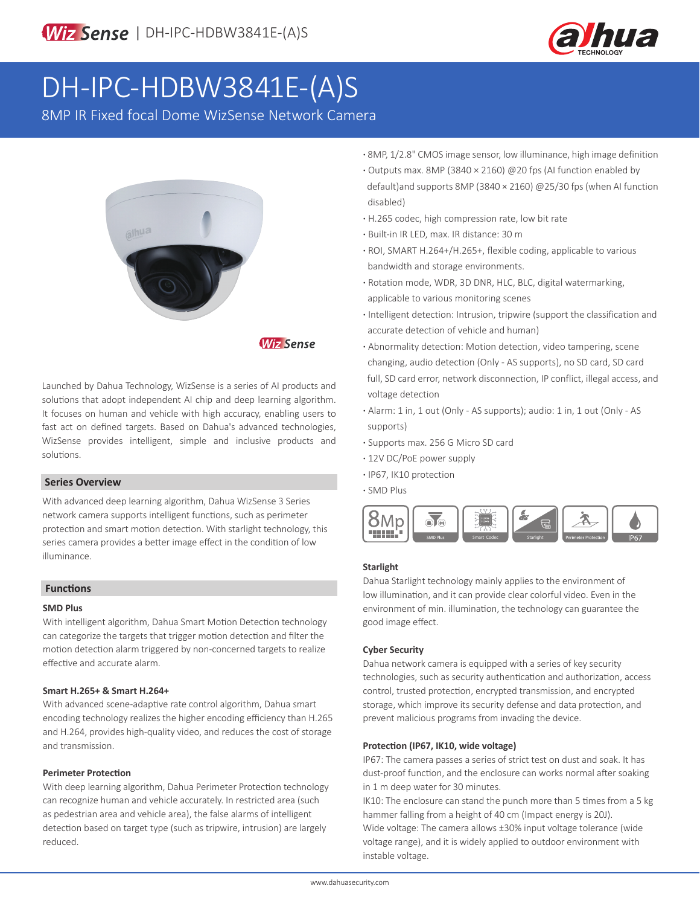

# DH-IPC-HDBW3841E-(A)S

8MP IR Fixed focal Dome WizSense Network Camera



**Wiz Sense** 

Launched by Dahua Technology, WizSense is a series of AI products and solutions that adopt independent AI chip and deep learning algorithm. It focuses on human and vehicle with high accuracy, enabling users to fast act on defined targets. Based on Dahua's advanced technologies, WizSense provides intelligent, simple and inclusive products and solutions.

### **Series Overview**

With advanced deep learning algorithm, Dahua WizSense 3 Series network camera supports intelligent functions, such as perimeter protection and smart motion detection. With starlight technology, this series camera provides a better image effect in the condition of low illuminance.

### **Functions**

#### **SMD Plus**

With intelligent algorithm, Dahua Smart Motion Detection technology can categorize the targets that trigger motion detection and filter the motion detection alarm triggered by non-concerned targets to realize effective and accurate alarm.

### **Smart H.265+ & Smart H.264+**

With advanced scene-adaptive rate control algorithm, Dahua smart encoding technology realizes the higher encoding efficiency than H.265 and H.264, provides high-quality video, and reduces the cost of storage and transmission.

#### **Perimeter Protection**

With deep learning algorithm, Dahua Perimeter Protection technology can recognize human and vehicle accurately. In restricted area (such as pedestrian area and vehicle area), the false alarms of intelligent detection based on target type (such as tripwire, intrusion) are largely reduced.

- **·** 8MP, 1/2.8" CMOS image sensor, low illuminance, high image definition
- **·** Outputs max. 8MP (3840 × 2160) @20 fps (AI function enabled by default)and supports 8MP (3840 × 2160) @25/30 fps (when AI function disabled)
- **·** H.265 codec, high compression rate, low bit rate
- **·** Built-in IR LED, max. IR distance: 30 m
- **·** ROI, SMART H.264+/H.265+, flexible coding, applicable to various bandwidth and storage environments.
- **·** Rotation mode, WDR, 3D DNR, HLC, BLC, digital watermarking, applicable to various monitoring scenes
- **·** Intelligent detection: Intrusion, tripwire (support the classification and accurate detection of vehicle and human)
- **·** Abnormality detection: Motion detection, video tampering, scene changing, audio detection (Only - AS supports), no SD card, SD card full, SD card error, network disconnection, IP conflict, illegal access, and voltage detection
- **·** Alarm: 1 in, 1 out (Only AS supports); audio: 1 in, 1 out (Only AS supports)
- **·** Supports max. 256 G Micro SD card
- **·** 12V DC/PoE power supply
- **·** IP67, IK10 protection

**<sup>·</sup>** SMD Plus



### **Starlight**

Dahua Starlight technology mainly applies to the environment of low illumination, and it can provide clear colorful video. Even in the environment of min. illumination, the technology can guarantee the good image effect.

### **Cyber Security**

Dahua network camera is equipped with a series of key security technologies, such as security authentication and authorization, access control, trusted protection, encrypted transmission, and encrypted storage, which improve its security defense and data protection, and prevent malicious programs from invading the device.

### **Protection (IP67, IK10, wide voltage)**

IP67: The camera passes a series of strict test on dust and soak. It has dust-proof function, and the enclosure can works normal after soaking in 1 m deep water for 30 minutes.

IK10: The enclosure can stand the punch more than 5 times from a 5 kg hammer falling from a height of 40 cm (Impact energy is 20J). Wide voltage: The camera allows ±30% input voltage tolerance (wide voltage range), and it is widely applied to outdoor environment with instable voltage.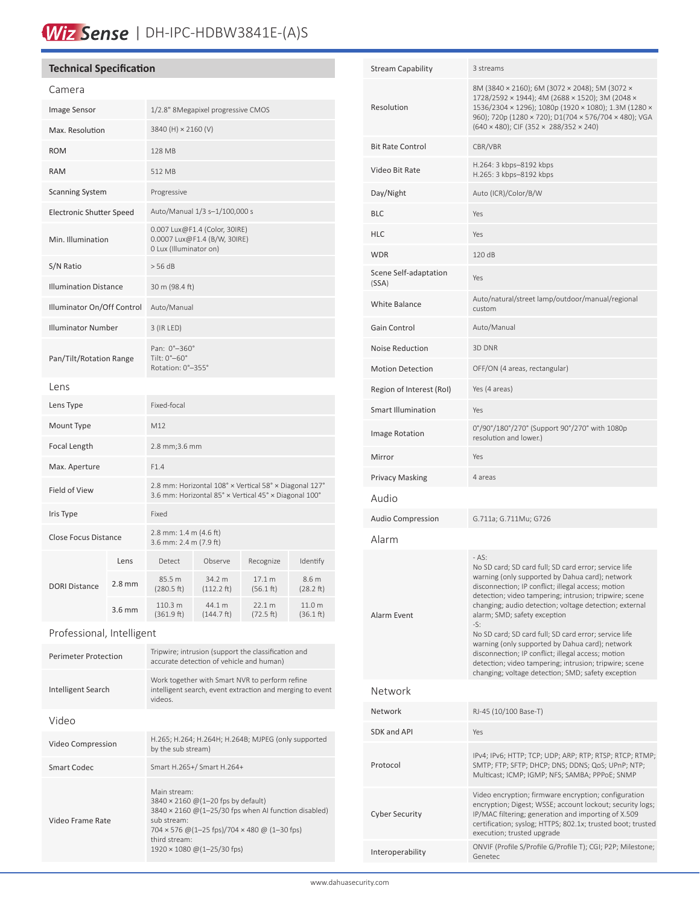# Wiz Sense | DH-IPC-HDBW3841E-(A)S

### **Technical Specification**

| Camera                          |          |                                                                                                                 |                      |                     |                     |
|---------------------------------|----------|-----------------------------------------------------------------------------------------------------------------|----------------------|---------------------|---------------------|
| <b>Image Sensor</b>             |          | 1/2.8" 8Megapixel progressive CMOS                                                                              |                      |                     |                     |
| Max. Resolution                 |          | 3840 (H) × 2160 (V)                                                                                             |                      |                     |                     |
| <b>ROM</b>                      |          | 128 MB                                                                                                          |                      |                     |                     |
| <b>RAM</b>                      |          | 512 MB                                                                                                          |                      |                     |                     |
| <b>Scanning System</b>          |          | Progressive                                                                                                     |                      |                     |                     |
| <b>Electronic Shutter Speed</b> |          | Auto/Manual 1/3 s-1/100,000 s                                                                                   |                      |                     |                     |
| Min. Illumination               |          | 0.007 Lux@F1.4 (Color, 30IRE)<br>0.0007 Lux@F1.4 (B/W, 30IRE)<br>0 Lux (Illuminator on)                         |                      |                     |                     |
| S/N Ratio                       |          | $>$ 56 dB                                                                                                       |                      |                     |                     |
| <b>Illumination Distance</b>    |          | 30 m (98.4 ft)                                                                                                  |                      |                     |                     |
| Illuminator On/Off Control      |          | Auto/Manual                                                                                                     |                      |                     |                     |
| <b>Illuminator Number</b>       |          | 3 (IR LED)                                                                                                      |                      |                     |                     |
| Pan/Tilt/Rotation Range         |          | Pan: 0°-360°<br>Tilt: 0°-60°<br>Rotation: 0°-355°                                                               |                      |                     |                     |
| Lens                            |          |                                                                                                                 |                      |                     |                     |
| Lens Type                       |          | Fixed-focal                                                                                                     |                      |                     |                     |
| Mount Type                      |          | M12                                                                                                             |                      |                     |                     |
| Focal Length                    |          | 2.8 mm; 3.6 mm                                                                                                  |                      |                     |                     |
| Max. Aperture                   |          | F1.4                                                                                                            |                      |                     |                     |
| Field of View                   |          | 2.8 mm: Horizontal 108° x Vertical 58° x Diagonal 127°<br>3.6 mm: Horizontal 85° × Vertical 45° × Diagonal 100° |                      |                     |                     |
| Iris Type                       |          | Fixed                                                                                                           |                      |                     |                     |
| <b>Close Focus Distance</b>     |          | 2.8 mm: 1.4 m (4.6 ft)<br>3.6 mm: 2.4 m (7.9 ft)                                                                |                      |                     |                     |
| <b>DORI Distance</b>            | Lens     | Detect                                                                                                          | Observe              | Recognize           | Identify            |
|                                 | $2.8$ mm | 85.5 m<br>(280.5 ft)                                                                                            | 34.2 m<br>(112.2 ft) | 17.1 m<br>(56.1 ft) | 8.6 m<br>(28.2 ft)  |
|                                 | 3.6 mm   | 110.3 m<br>(361.9 ft)                                                                                           | 44.1 m<br>(144.7 ft) | 22.1 m<br>(72.5 ft) | 11.0 m<br>(36.1 ft) |
| Professional, Intelligent       |          |                                                                                                                 |                      |                     |                     |

| <b>Perimeter Protection</b> | Tripwire; intrusion (support the classification and<br>accurate detection of vehicle and human)                                                                                                                            |
|-----------------------------|----------------------------------------------------------------------------------------------------------------------------------------------------------------------------------------------------------------------------|
| Intelligent Search          | Work together with Smart NVR to perform refine<br>intelligent search, event extraction and merging to event<br>videos.                                                                                                     |
| Video                       |                                                                                                                                                                                                                            |
| Video Compression           | H.265; H.264; H.264H; H.264B; MJPEG (only supported<br>by the sub stream)                                                                                                                                                  |
| Smart Codec                 | Smart H.265+/ Smart H.264+                                                                                                                                                                                                 |
| Video Frame Rate            | Main stream:<br>3840 × 2160 @ (1-20 fps by default)<br>3840 × 2160 @(1-25/30 fps when AI function disabled)<br>sub stream:<br>704 x 576 @ (1-25 fps)/704 x 480 @ (1-30 fps)<br>third stream:<br>1920 × 1080 @(1-25/30 fps) |

| <b>Stream Capability</b>       | 3 streams                                                                                                                                                                                                                                                                                                                                                                                                                                                                                                                                                                                                                |
|--------------------------------|--------------------------------------------------------------------------------------------------------------------------------------------------------------------------------------------------------------------------------------------------------------------------------------------------------------------------------------------------------------------------------------------------------------------------------------------------------------------------------------------------------------------------------------------------------------------------------------------------------------------------|
| Resolution                     | 8M (3840 × 2160); 6M (3072 × 2048); 5M (3072 ×<br>1728/2592 × 1944); 4M (2688 × 1520); 3M (2048 ×<br>1536/2304 × 1296); 1080p (1920 × 1080); 1.3M (1280 ×<br>960); 720p (1280 × 720); D1(704 × 576/704 × 480); VGA<br>$(640 \times 480)$ ; CIF $(352 \times 288/352 \times 240)$                                                                                                                                                                                                                                                                                                                                         |
| <b>Bit Rate Control</b>        | CBR/VBR                                                                                                                                                                                                                                                                                                                                                                                                                                                                                                                                                                                                                  |
| Video Bit Rate                 | H.264: 3 kbps-8192 kbps<br>H.265: 3 kbps-8192 kbps                                                                                                                                                                                                                                                                                                                                                                                                                                                                                                                                                                       |
| Day/Night                      | Auto (ICR)/Color/B/W                                                                                                                                                                                                                                                                                                                                                                                                                                                                                                                                                                                                     |
| <b>BLC</b>                     | Yes                                                                                                                                                                                                                                                                                                                                                                                                                                                                                                                                                                                                                      |
| <b>HLC</b>                     | Yes                                                                                                                                                                                                                                                                                                                                                                                                                                                                                                                                                                                                                      |
| <b>WDR</b>                     | 120 dB                                                                                                                                                                                                                                                                                                                                                                                                                                                                                                                                                                                                                   |
| Scene Self-adaptation<br>(SSA) | Yes                                                                                                                                                                                                                                                                                                                                                                                                                                                                                                                                                                                                                      |
| <b>White Balance</b>           | Auto/natural/street lamp/outdoor/manual/regional<br>custom                                                                                                                                                                                                                                                                                                                                                                                                                                                                                                                                                               |
| Gain Control                   | Auto/Manual                                                                                                                                                                                                                                                                                                                                                                                                                                                                                                                                                                                                              |
| <b>Noise Reduction</b>         | 3D DNR                                                                                                                                                                                                                                                                                                                                                                                                                                                                                                                                                                                                                   |
| <b>Motion Detection</b>        | OFF/ON (4 areas, rectangular)                                                                                                                                                                                                                                                                                                                                                                                                                                                                                                                                                                                            |
| Region of Interest (RoI)       | Yes (4 areas)                                                                                                                                                                                                                                                                                                                                                                                                                                                                                                                                                                                                            |
| Smart Illumination             | Yes                                                                                                                                                                                                                                                                                                                                                                                                                                                                                                                                                                                                                      |
| Image Rotation                 | 0°/90°/180°/270° (Support 90°/270° with 1080p<br>resolution and lower.)                                                                                                                                                                                                                                                                                                                                                                                                                                                                                                                                                  |
| Mirror                         | Yes                                                                                                                                                                                                                                                                                                                                                                                                                                                                                                                                                                                                                      |
| <b>Privacy Masking</b>         | 4 areas                                                                                                                                                                                                                                                                                                                                                                                                                                                                                                                                                                                                                  |
| Audio                          |                                                                                                                                                                                                                                                                                                                                                                                                                                                                                                                                                                                                                          |
| <b>Audio Compression</b>       | G.711a; G.711Mu; G726                                                                                                                                                                                                                                                                                                                                                                                                                                                                                                                                                                                                    |
| Alarm                          |                                                                                                                                                                                                                                                                                                                                                                                                                                                                                                                                                                                                                          |
| Alarm Event                    | $- AS:$<br>No SD card; SD card full; SD card error; service life<br>warning (only supported by Dahua card); network<br>disconnection; IP conflict; illegal access; motion<br>detection; video tampering; intrusion; tripwire; scene<br>changing; audio detection; voltage detection; external<br>alarm; SMD; safety exception<br>$-S:$<br>No SD card; SD card full; SD card error; service life<br>warning (only supported by Dahua card); network<br>disconnection; IP conflict; illegal access; motion<br>detection; video tampering; intrusion; tripwire; scene<br>changing; voltage detection; SMD; safety exception |
| Network                        |                                                                                                                                                                                                                                                                                                                                                                                                                                                                                                                                                                                                                          |
| Network                        | RJ-45 (10/100 Base-T)                                                                                                                                                                                                                                                                                                                                                                                                                                                                                                                                                                                                    |
| SDK and API                    | Yes                                                                                                                                                                                                                                                                                                                                                                                                                                                                                                                                                                                                                      |
| Protocol                       | IPv4; IPv6; HTTP; TCP; UDP; ARP; RTP; RTSP; RTCP; RTMP;<br>SMTP; FTP; SFTP; DHCP; DNS; DDNS; QoS; UPnP; NTP;<br>Multicast; ICMP; IGMP; NFS; SAMBA; PPPoE; SNMP                                                                                                                                                                                                                                                                                                                                                                                                                                                           |
| <b>Cyber Security</b>          | Video encryption; firmware encryption; configuration<br>encryption; Digest; WSSE; account lockout; security logs;<br>IP/MAC filtering; generation and importing of X.509<br>certification; syslog; HTTPS; 802.1x; trusted boot; trusted<br>execution; trusted upgrade                                                                                                                                                                                                                                                                                                                                                    |
| Interoperability               | ONVIF (Profile S/Profile G/Profile T); CGI; P2P; Milestone;<br>Genetec                                                                                                                                                                                                                                                                                                                                                                                                                                                                                                                                                   |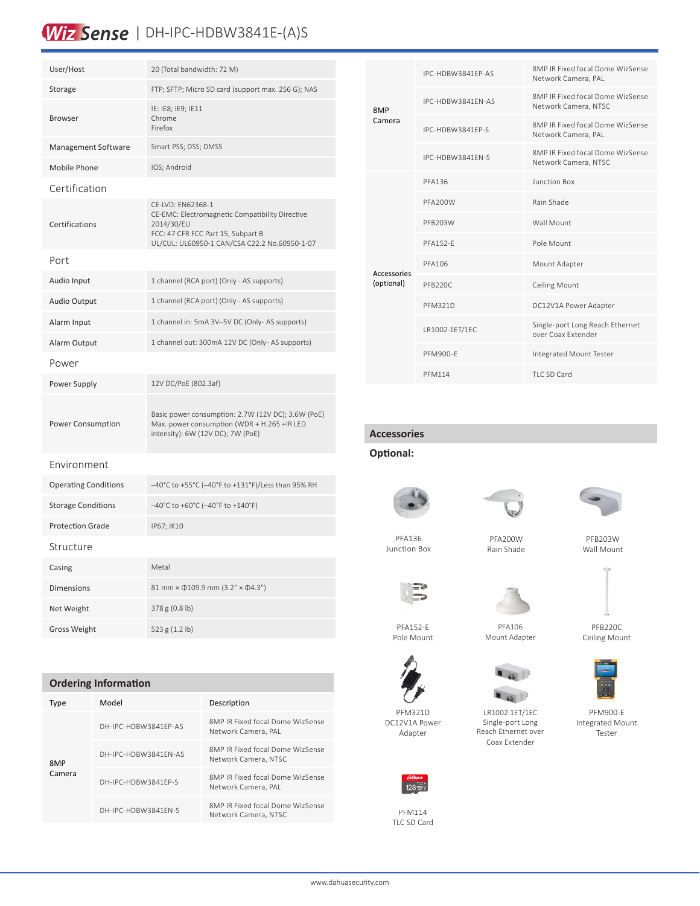# Wiz Sense | DH-IPC-HDBW3841E-(A)S

| User/Host                   | 20 (Total bandwidth: 72 M)                                                                                                                                                |
|-----------------------------|---------------------------------------------------------------------------------------------------------------------------------------------------------------------------|
| Storage                     | FTP; SFTP; Micro SD card (support max. 256 G); NAS                                                                                                                        |
| <b>Browser</b>              | IE: IE8; IE9; IE11<br>Chrome<br>Firefox                                                                                                                                   |
| Management Software         | Smart PSS; DSS; DMSS                                                                                                                                                      |
| Mobile Phone                | IOS; Android                                                                                                                                                              |
| Certification               |                                                                                                                                                                           |
| Certifications              | CE-LVD: EN62368-1<br>CE-EMC: Electromagnetic Compatibility Directive<br>2014/30/EU<br>FCC: 47 CFR FCC Part 15, Subpart B<br>UL/CUL: UL60950-1 CAN/CSA C22.2 No.60950-1-07 |
| Port                        |                                                                                                                                                                           |
| Audio Input                 | 1 channel (RCA port) (Only - AS supports)                                                                                                                                 |
| Audio Output                | 1 channel (RCA port) (Only - AS supports)                                                                                                                                 |
| Alarm Input                 | 1 channel in: 5mA 3V-5V DC (Only-AS supports)                                                                                                                             |
| Alarm Output                | 1 channel out: 300mA 12V DC (Only-AS supports)                                                                                                                            |
| Power                       |                                                                                                                                                                           |
| Power Supply                | 12V DC/PoE (802.3af)                                                                                                                                                      |
| Power Consumption           | Basic power consumption: 2.7W (12V DC); 3.6W (PoE)<br>Max. power consumption (WDR + H.265 +IR LED<br>intensity): 6W (12V DC); 7W (PoE)                                    |
| Environment                 |                                                                                                                                                                           |
| <b>Operating Conditions</b> | -40°C to +55°C (-40°F to +131°F)/Less than 95% RH                                                                                                                         |
| <b>Storage Conditions</b>   | -40°C to +60°C (-40°F to +140°F)                                                                                                                                          |
| <b>Protection Grade</b>     | IP67; IK10                                                                                                                                                                |
| Structure                   |                                                                                                                                                                           |
| Casing                      | Metal                                                                                                                                                                     |
| <b>Dimensions</b>           | 81 mm × 0109.9 mm (3.2" × 04.3")                                                                                                                                          |
| Net Weight                  | 378 g (0.8 lb)                                                                                                                                                            |
| <b>Gross Weight</b>         | 523 g (1.2 lb)                                                                                                                                                            |

### **Ordering Information**

| Type          | Model                | Description                                              |
|---------------|----------------------|----------------------------------------------------------|
| 8MP<br>Camera | DH-IPC-HDBW3841FP-AS | 8MP IR Fixed focal Dome WizSense<br>Network Camera, PAL  |
|               | DH-IPC-HDBW3841FN-AS | 8MP IR Fixed focal Dome WizSense<br>Network Camera, NTSC |
|               | DH-IPC-HDBW3841FP-S  | 8MP IR Fixed focal Dome WizSense<br>Network Camera, PAL  |
|               | DH-IPC-HDBW3841FN-S  | 8MP IR Fixed focal Dome WizSense<br>Network Camera, NTSC |

| 8MP<br>Camera                    | IPC-HDBW3841FP-AS | 8MP IR Fixed focal Dome WizSense<br>Network Camera, PAL  |  |
|----------------------------------|-------------------|----------------------------------------------------------|--|
|                                  | IPC-HDBW3841FN-AS | 8MP IR Fixed focal Dome WizSense<br>Network Camera, NTSC |  |
|                                  | IPC-HDBW3841FP-S  | 8MP IR Fixed focal Dome WizSense<br>Network Camera, PAL  |  |
|                                  | IPC-HDBW3841FN-S  | 8MP IR Fixed focal Dome WizSense<br>Network Camera, NTSC |  |
| <b>Accessories</b><br>(optional) | PFA136            | Junction Box                                             |  |
|                                  | PFA200W           | Rain Shade                                               |  |
|                                  | PFB203W           | Wall Mount                                               |  |
|                                  | <b>PFA152-F</b>   | Pole Mount                                               |  |
|                                  | PFA106            | Mount Adapter                                            |  |
|                                  | PFB220C           | <b>Ceiling Mount</b>                                     |  |
|                                  | PFM321D           | DC12V1A Power Adapter                                    |  |
|                                  | LR1002-1ET/1EC    | Single-port Long Reach Ethernet<br>over Coax Extender    |  |
|                                  | PFM900-F          | Integrated Mount Tester                                  |  |
|                                  | <b>PFM114</b>     | TLC SD Card                                              |  |
|                                  |                   |                                                          |  |

### **Accessories**

### **Optional:**



PFA136 Junction Box

> PFA152-E Pole Mount

PFM321D DC12V1A Power Adapter

> PFM114 TLC SD Card

128 TLC



PFA200W Rain Shade















PFM900-E Integrated Mount Tester

www.dahuasecurity.com